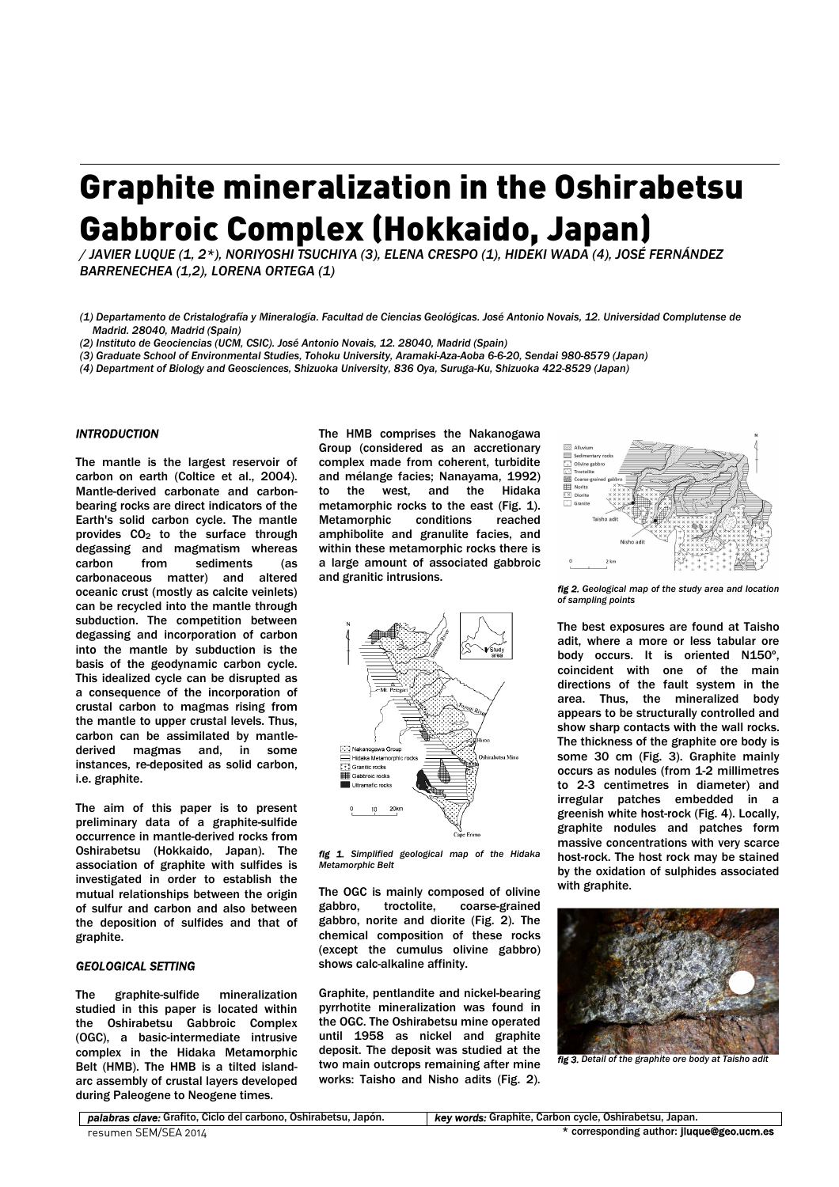# Graphite mineralization in the Oshirabetsu Gabbroic Complex (Hokkaido, Japan)

*/ JAVIER LUQUE (1, 2\*), NORIYOSHI TSUCHIYA (3), ELENA CRESPO (1), HIDEKI WADA (4), JOSÉ FERNÁNDEZ BARRENECHEA (1,2), LORENA ORTEGA (1)* 

*(1) Departamento de Cristalografía y Mineralogía. Facultad de Ciencias Geológicas. José Antonio Novais, 12. Universidad Complutense de Madrid. 28040, Madrid (Spain)* 

*(2) Instituto de Geociencias (UCM, CSIC). José Antonio Novais, 12. 28040, Madrid (Spain)* 

*(3) Graduate School of Environmental Studies, Tohoku University, Aramaki-Aza-Aoba 6-6-20, Sendai 980-8579 (Japan)* 

*(4) Department of Biology and Geosciences, Shizuoka University, 836 Oya, Suruga-Ku, Shizuoka 422-8529 (Japan)* 

#### *INTRODUCTION*

The mantle is the largest reservoir of carbon on earth (Coltice et al., 2004). Mantle-derived carbonate and carbonbearing rocks are direct indicators of the Earth's solid carbon cycle. The mantle provides CO2 to the surface through degassing and magmatism whereas carbon from sediments (as carbonaceous matter) and altered oceanic crust (mostly as calcite veinlets) can be recycled into the mantle through subduction. The competition between degassing and incorporation of carbon into the mantle by subduction is the basis of the geodynamic carbon cycle. This idealized cycle can be disrupted as a consequence of the incorporation of crustal carbon to magmas rising from the mantle to upper crustal levels. Thus, carbon can be assimilated by mantlederived magmas and, in some instances, re-deposited as solid carbon, i.e. graphite.

The aim of this paper is to present preliminary data of a graphite-sulfide occurrence in mantle-derived rocks from Oshirabetsu (Hokkaido, Japan). The association of graphite with sulfides is investigated in order to establish the mutual relationships between the origin of sulfur and carbon and also between the deposition of sulfides and that of graphite.

## *GEOLOGICAL SETTING*

The graphite-sulfide mineralization studied in this paper is located within the Oshirabetsu Gabbroic Complex (OGC), a basic-intermediate intrusive complex in the Hidaka Metamorphic Belt (HMB). The HMB is a tilted islandarc assembly of crustal layers developed during Paleogene to Neogene times.

The HMB comprises the Nakanogawa Group (considered as an accretionary complex made from coherent, turbidite and mélange facies; Nanayama, 1992) the west, and the Hidaka metamorphic rocks to the east (Fig. 1). Metamorphic conditions reached amphibolite and granulite facies, and within these metamorphic rocks there is a large amount of associated gabbroic and granitic intrusions.



*fig 1. Simplified geological map of the Hidaka Metamorphic Belt* 

The OGC is mainly composed of olivine gabbro, troctolite, coarse-grained gabbro, norite and diorite (Fig. 2). The chemical composition of these rocks (except the cumulus olivine gabbro) shows calc-alkaline affinity.

Graphite, pentlandite and nickel-bearing pyrrhotite mineralization was found in the OGC. The Oshirabetsu mine operated until 1958 as nickel and graphite deposit. The deposit was studied at the two main outcrops remaining after mine works: Taisho and Nisho adits (Fig. 2).



*fig 2. Geological map of the study area and location of sampling points* 

The best exposures are found at Taisho adit, where a more or less tabular ore body occurs. It is oriented N150º, coincident with one of the main directions of the fault system in the area. Thus, the mineralized body appears to be structurally controlled and show sharp contacts with the wall rocks. The thickness of the graphite ore body is some 30 cm (Fig. 3). Graphite mainly occurs as nodules (from 1-2 millimetres to 2-3 centimetres in diameter) and irregular patches embedded in a greenish white host-rock (Fig. 4). Locally, graphite nodules and patches form massive concentrations with very scarce host-rock. The host rock may be stained by the oxidation of sulphides associated with graphite.



*fig 3. Detail of the graphite ore body at Taisho adit* 

*palabras clave:* Grafito, Ciclo del carbono, Oshirabetsu, Japón. *key words:* Graphite, Carbon cycle, Oshirabetsu, Japan.